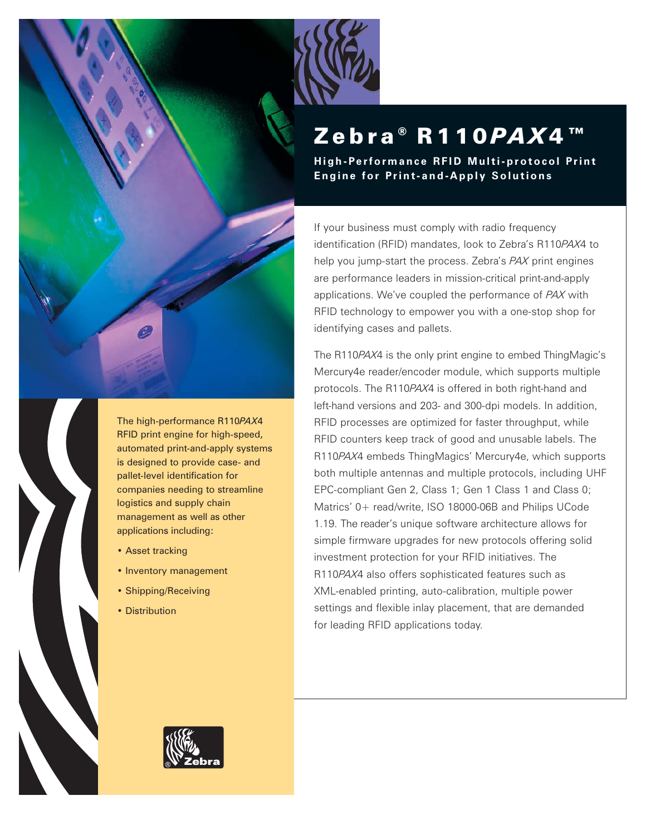

# Zebra® **R110** *PAX***4**™

**High-Performance RFID Multi-protocol Print Engine for Print-and-Apply Solutions**

If your business must comply with radio frequency identification (RFID) mandates, look to Zebra's R110*PAX*4 to help you jump-start the process. Zebra's *PAX* print engines are performance leaders in mission-critical print-and-apply applications. We've coupled the performance of *PAX* with RFID technology to empower you with a one-stop shop for identifying cases and pallets.

The R110*PAX*4 is the only print engine to embed ThingMagic's Mercury4e reader/encoder module, which supports multiple protocols. The R110*PAX*4 is offered in both right-hand and left-hand versions and 203- and 300-dpi models. In addition, RFID processes are optimized for faster throughput, while RFID counters keep track of good and unusable labels. The R110*PAX*4 embeds ThingMagics' Mercury4e, which supports both multiple antennas and multiple protocols, including UHF EPC-compliant Gen 2, Class 1; Gen 1 Class 1 and Class 0; Matrics' 0+ read/write, ISO 18000-06B and Philips UCode 1.19. The reader's unique software architecture allows for simple firmware upgrades for new protocols offering solid investment protection for your RFID initiatives. The R110*PAX*4 also offers sophisticated features such as XML-enabled printing, auto-calibration, multiple power settings and flexible inlay placement, that are demanded for leading RFID applications today.



The high-performance R110*PAX*4 RFID print engine for high-speed, automated print-and-apply systems is designed to provide case- and pallet-level identification for companies needing to streamline logistics and supply chain management as well as other applications including:

- Asset tracking
- Inventory management
- Shipping/Receiving
- Distribution